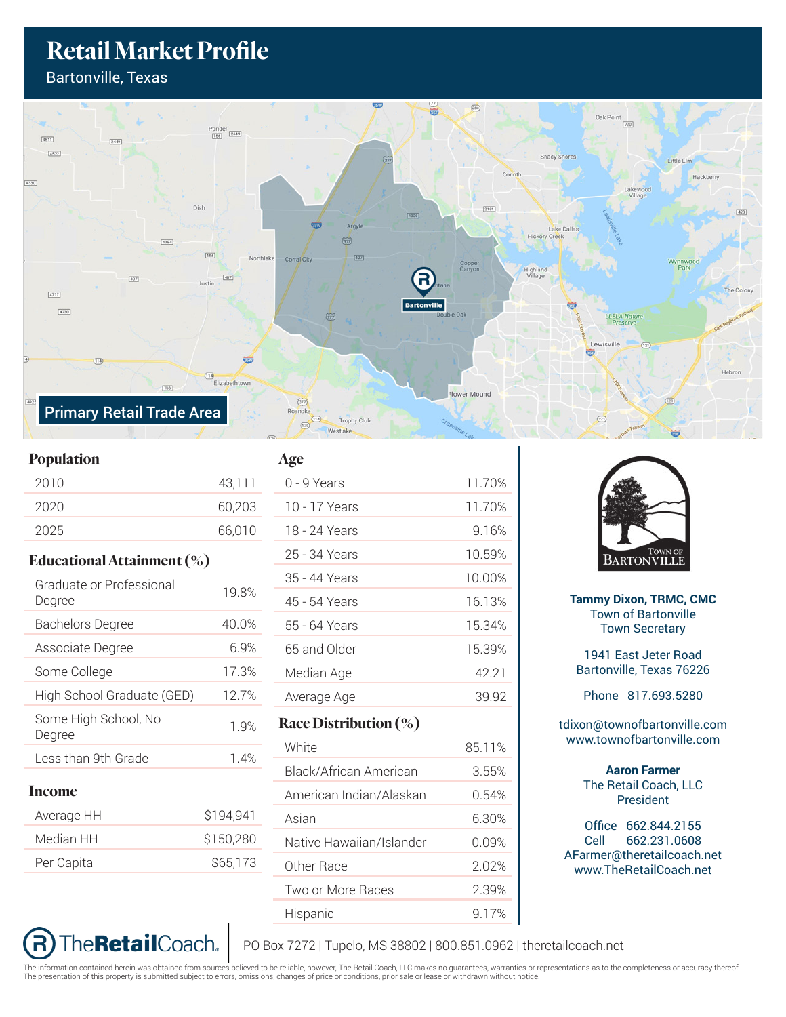## **Retail Market Profile**

Bartonville, Texas



## **Population**

| 2010 |  | 43,111 |
|------|--|--------|
| 2020 |  | 60,203 |
| 2025 |  | 66,010 |
|      |  |        |

## **Educational Attainment (%)**

| Graduate or Professional<br>Degree | 19.8%     |
|------------------------------------|-----------|
| <b>Bachelors Degree</b>            | 40.0%     |
| Associate Degree                   | 6.9%      |
| Some College                       | 17.3%     |
| High School Graduate (GED)         | 12.7%     |
| Some High School, No<br>Degree     | 1.9%      |
| Less than 9th Grade                | 1.4%      |
| <b>Income</b>                      |           |
| Average HH                         | \$194,941 |
| Median HH                          | \$150,280 |
| Per Capita                         | \$65,173  |

The**Retail**Coach.



| 0 - 9 Years              | 11.70% |
|--------------------------|--------|
| 10 - 17 Years            | 11.70% |
| 18 - 24 Years            | 9.16%  |
| 25 - 34 Years            | 10.59% |
| 35 - 44 Years            | 10.00% |
| 45 - 54 Years            | 16.13% |
| 55 - 64 Years            | 15.34% |
| 65 and Older             | 15.39% |
| Median Age               | 42.21  |
| Average Age              | 39.92  |
| Race Distribution $(\%)$ |        |
| White                    | 85.11% |
|                          |        |

| Black/African American   | 3.55% |
|--------------------------|-------|
| American Indian/Alaskan  | 0.54% |
| Asian                    | 6.30% |
| Native Hawaiian/Islander | በ በዓ% |
| Other Race               | 2.02% |
| Two or More Races        | 2.39% |
| Hispanic                 | 9.17% |



**Tammy Dixon, TRMC, CMC** Town of Bartonville Town Secretary

1941 East Jeter Road Bartonville, Texas 76226

Phone 817.693.5280

tdixon@townofbartonville.com www.townofbartonville.com

> **Aaron Farmer** The Retail Coach, LLC President

Office 662.844.2155 Cell 662.231.0608 AFarmer@theretailcoach.net www.TheRetailCoach.net

PO Box 7272 | Tupelo, MS 38802 | 800.851.0962 | theretailcoach.net

The information contained herein was obtained from sources believed to be reliable, however, The Retail Coach, LLC makes no guarantees, warranties or representations as to the completeness or accuracy thereof.<br>The presenta